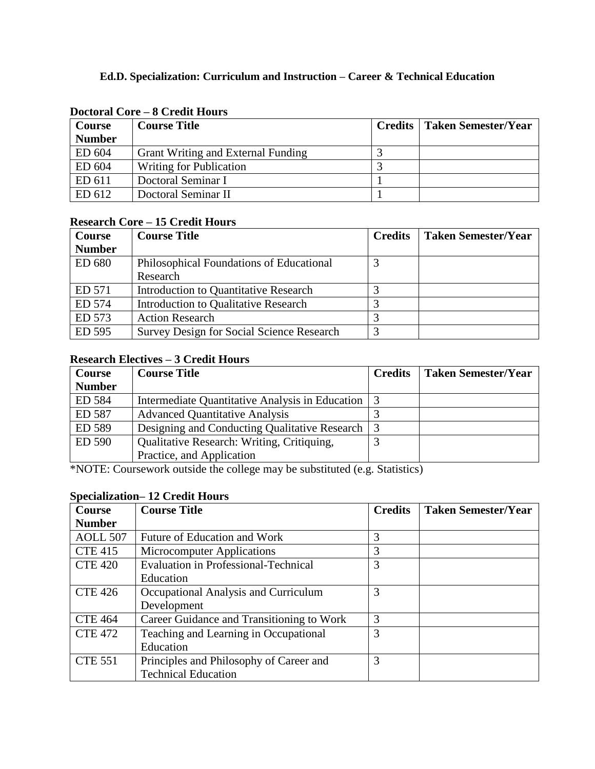| <b>Course</b> | <b>Course Title</b>                       | <b>Credits</b>   Taken Semester/Year |
|---------------|-------------------------------------------|--------------------------------------|
| <b>Number</b> |                                           |                                      |
| ED 604        | <b>Grant Writing and External Funding</b> |                                      |
| ED 604        | <b>Writing for Publication</b>            |                                      |
| ED 611        | Doctoral Seminar I                        |                                      |
| ED 612        | Doctoral Seminar II                       |                                      |

#### **Doctoral Core – 8 Credit Hours**

### **Research Core – 15 Credit Hours**

| <b>Course</b> | <b>Course Title</b>                              | <b>Credits</b> | <b>Taken Semester/Year</b> |
|---------------|--------------------------------------------------|----------------|----------------------------|
| <b>Number</b> |                                                  |                |                            |
| ED 680        | Philosophical Foundations of Educational         |                |                            |
|               | Research                                         |                |                            |
| ED 571        | Introduction to Quantitative Research            |                |                            |
| ED 574        | <b>Introduction to Qualitative Research</b>      |                |                            |
| ED 573        | <b>Action Research</b>                           |                |                            |
| ED 595        | <b>Survey Design for Social Science Research</b> | 2              |                            |

# **Research Electives – 3 Credit Hours**

| <b>Course</b> | <b>Course Title</b>                               | <b>Credits</b> | Taken Semester/Year |
|---------------|---------------------------------------------------|----------------|---------------------|
| <b>Number</b> |                                                   |                |                     |
| ED 584        | Intermediate Quantitative Analysis in Education 3 |                |                     |
| ED 587        | <b>Advanced Quantitative Analysis</b>             |                |                     |
| ED 589        | Designing and Conducting Qualitative Research   3 |                |                     |
| ED 590        | Qualitative Research: Writing, Critiquing,        |                |                     |
|               | Practice, and Application                         |                |                     |

\*NOTE: Coursework outside the college may be substituted (e.g. Statistics)

## **Specialization– 12 Credit Hours**

| Course          | <b>Course Title</b>                         | <b>Credits</b> | <b>Taken Semester/Year</b> |
|-----------------|---------------------------------------------|----------------|----------------------------|
| <b>Number</b>   |                                             |                |                            |
| <b>AOLL 507</b> | Future of Education and Work                | 3              |                            |
| <b>CTE 415</b>  | <b>Microcomputer Applications</b>           | 3              |                            |
| <b>CTE 420</b>  | <b>Evaluation in Professional-Technical</b> | 3              |                            |
|                 | Education                                   |                |                            |
| <b>CTE 426</b>  | Occupational Analysis and Curriculum        | 3              |                            |
|                 | Development                                 |                |                            |
| <b>CTE 464</b>  | Career Guidance and Transitioning to Work   | 3              |                            |
| <b>CTE 472</b>  | Teaching and Learning in Occupational       | 3              |                            |
|                 | Education                                   |                |                            |
| <b>CTE 551</b>  | Principles and Philosophy of Career and     | 3              |                            |
|                 | <b>Technical Education</b>                  |                |                            |